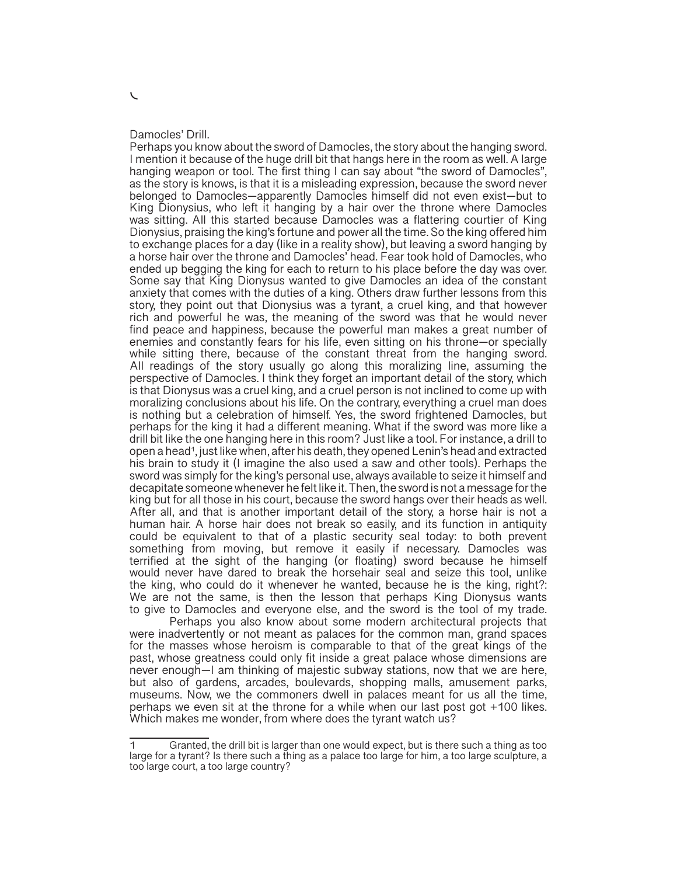## Damocles' Drill.

Perhaps you know about the sword of Damocles, the story about the hanging sword. I mention it because of the huge drill bit that hangs here in the room as well. A large hanging weapon or tool. The first thing I can say about "the sword of Damocles", as the story is knows, is that it is a misleading expression, because the sword never belonged to Damocles—apparently Damocles himself did not even exist—but to King Dionysius, who left it hanging by a hair over the throne where Damocles was sitting. All this started because Damocles was a flattering courtier of King Dionysius, praising the king's fortune and power all the time. So the king offered him to exchange places for a day (like in a reality show), but leaving a sword hanging by a horse hair over the throne and Damocles' head. Fear took hold of Damocles, who ended up begging the king for each to return to his place before the day was over. Some say that King Dionysus wanted to give Damocles an idea of the constant anxiety that comes with the duties of a king. Others draw further lessons from this story, they point out that Dionysius was a tyrant, a cruel king, and that however rich and powerful he was, the meaning of the sword was that he would never find peace and happiness, because the powerful man makes a great number of enemies and constantly fears for his life, even sitting on his throne—or specially while sitting there, because of the constant threat from the hanging sword. All readings of the story usually go along this moralizing line, assuming the perspective of Damocles. I think they forget an important detail of the story, which is that Dionysus was a cruel king, and a cruel person is not inclined to come up with moralizing conclusions about his life. On the contrary, everything a cruel man does is nothing but a celebration of himself. Yes, the sword frightened Damocles, but perhaps for the king it had a different meaning. What if the sword was more like a drill bit like the one hanging here in this room? Just like a tool. For instance, a drill to open a head1, just like when, after his death, they opened Lenin's head and extracted his brain to study it (I imagine the also used a saw and other tools). Perhaps the sword was simply for the king's personal use, always available to seize it himself and decapitate someone whenever he felt like it. Then, the sword is not a message for the king but for all those in his court, because the sword hangs over their heads as well. After all, and that is another important detail of the story, a horse hair is not a human hair. A horse hair does not break so easily, and its function in antiquity could be equivalent to that of a plastic security seal today: to both prevent something from moving, but remove it easily if necessary. Damocles was terrified at the sight of the hanging (or floating) sword because he himself would never have dared to break the horsehair seal and seize this tool, unlike the king, who could do it whenever he wanted, because he is the king, right?: We are not the same, is then the lesson that perhaps King Dionysus wants to give to Damocles and everyone else, and the sword is the tool of my trade.

Perhaps you also know about some modern architectural projects that were inadvertently or not meant as palaces for the common man, grand spaces for the masses whose heroism is comparable to that of the great kings of the past, whose greatness could only fit inside a great palace whose dimensions are never enough—I am thinking of majestic subway stations, now that we are here, but also of gardens, arcades, boulevards, shopping malls, amusement parks, museums. Now, we the commoners dwell in palaces meant for us all the time, perhaps we even sit at the throne for a while when our last post got +100 likes. Which makes me wonder, from where does the tyrant watch us?

 $\sqrt{2}$ 

Granted, the drill bit is larger than one would expect, but is there such a thing as too large for a tyrant? Is there such a thing as a palace too large for him, a too large sculpture, a too large court, a too large country?